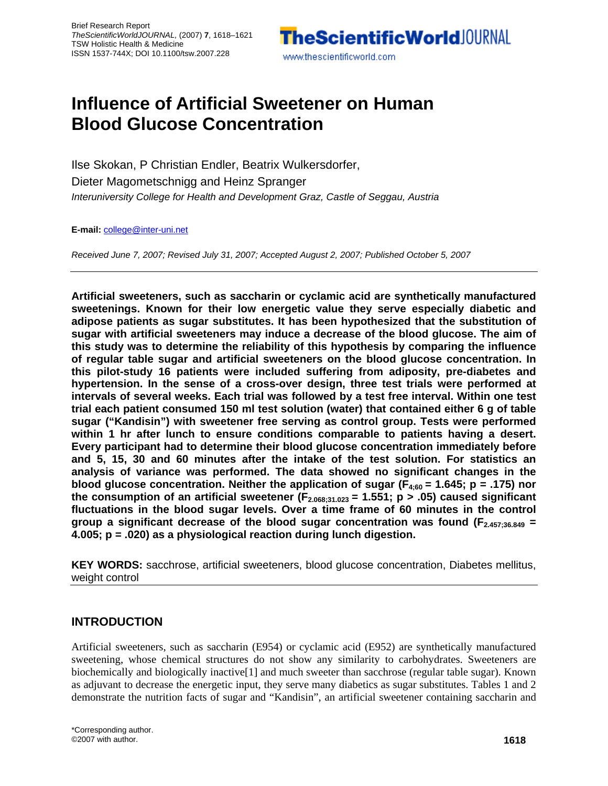

# **Influence of Artificial Sweetener on Human Blood Glucose Concentration**

Ilse Skokan, P Christian Endler, Beatrix Wulkersdorfer, Dieter Magometschnigg and Heinz Spranger *Interuniversity College for Health and Development Graz, Castle of Seggau, Austria* 

**E-mail:** college@inter-uni.net

*Received June 7, 2007; Revised July 31, 2007; Accepted August 2, 2007; Published October 5, 2007*

**Artificial sweeteners, such as saccharin or cyclamic acid are synthetically manufactured sweetenings. Known for their low energetic value they serve especially diabetic and adipose patients as sugar substitutes. It has been hypothesized that the substitution of sugar with artificial sweeteners may induce a decrease of the blood glucose. The aim of this study was to determine the reliability of this hypothesis by comparing the influence of regular table sugar and artificial sweeteners on the blood glucose concentration. In this pilot-study 16 patients were included suffering from adiposity, pre-diabetes and hypertension. In the sense of a cross-over design, three test trials were performed at intervals of several weeks. Each trial was followed by a test free interval. Within one test trial each patient consumed 150 ml test solution (water) that contained either 6 g of table sugar ("Kandisin") with sweetener free serving as control group. Tests were performed within 1 hr after lunch to ensure conditions comparable to patients having a desert. Every participant had to determine their blood glucose concentration immediately before and 5, 15, 30 and 60 minutes after the intake of the test solution. For statistics an analysis of variance was performed. The data showed no significant changes in the**  blood glucose concentration. Neither the application of sugar ( $F_{4:60}$  = 1.645; p = .175) nor the consumption of an artificial sweetener ( $F_{2.068;31.023}$  = 1.551; p > .05) caused significant **fluctuations in the blood sugar levels. Over a time frame of 60 minutes in the control group a significant decrease of the blood sugar concentration was found (F2.457;36.849 = 4.005; p = .020) as a physiological reaction during lunch digestion.** 

**KEY WORDS:** sacchrose, artificial sweeteners, blood glucose concentration, Diabetes mellitus, weight control

# **INTRODUCTION**

Artificial sweeteners, such as saccharin (E954) or cyclamic acid (E952) are synthetically manufactured sweetening, whose chemical structures do not show any similarity to carbohydrates. Sweeteners are biochemically and biologically inactive[1] and much sweeter than sacchrose (regular table sugar). Known as adjuvant to decrease the energetic input, they serve many diabetics as sugar substitutes. Tables 1 and 2 demonstrate the nutrition facts of sugar and "Kandisin", an artificial sweetener containing saccharin and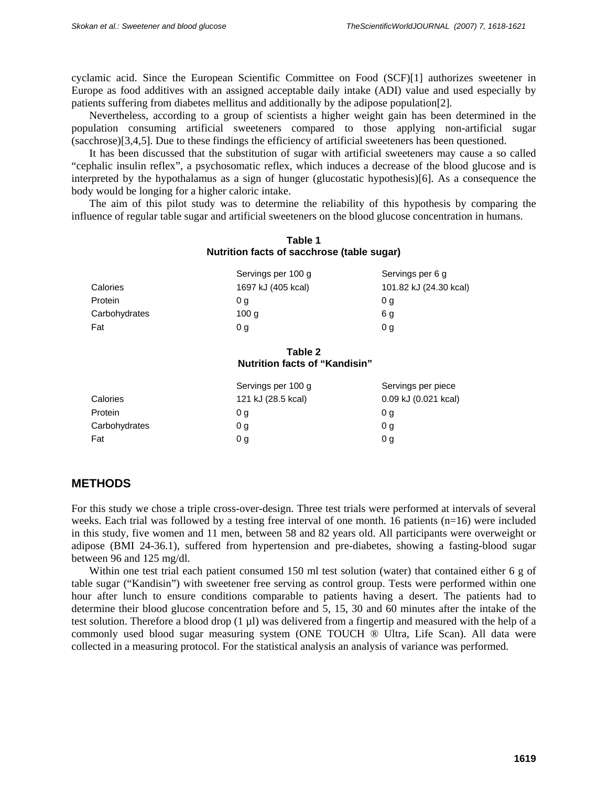cyclamic acid. Since the European Scientific Committee on Food (SCF)[1] authorizes sweetener in Europe as food additives with an assigned acceptable daily intake (ADI) value and used especially by patients suffering from diabetes mellitus and additionally by the adipose population[2].

Nevertheless, according to a group of scientists a higher weight gain has been determined in the population consuming artificial sweeteners compared to those applying non-artificial sugar (sacchrose)[3,4,5]. Due to these findings the efficiency of artificial sweeteners has been questioned.

It has been discussed that the substitution of sugar with artificial sweeteners may cause a so called "cephalic insulin reflex", a psychosomatic reflex, which induces a decrease of the blood glucose and is interpreted by the hypothalamus as a sign of hunger (glucostatic hypothesis)[6]. As a consequence the body would be longing for a higher caloric intake.

The aim of this pilot study was to determine the reliability of this hypothesis by comparing the influence of regular table sugar and artificial sweeteners on the blood glucose concentration in humans.

### **Table 1 Nutrition facts of sacchrose (table sugar)**

|               | Servings per 100 g | Servings per 6 g       |
|---------------|--------------------|------------------------|
| Calories      | 1697 kJ (405 kcal) | 101.82 kJ (24.30 kcal) |
| Protein       | 0 a                | 0 a                    |
| Carbohydrates | 100 <sub>q</sub>   | 6 g                    |
| Fat           | 0 g                | 0 a                    |

#### **Table 2 Nutrition facts of "Kandisin"**

|               | Servings per 100 g | Servings per piece       |
|---------------|--------------------|--------------------------|
| Calories      | 121 kJ (28.5 kcal) | $0.09$ kJ $(0.021$ kcal) |
| Protein       | 0 a                | 0 a                      |
| Carbohydrates | 0 g                | 0 g                      |
| Fat           | 0 g                | 0 g                      |

#### **METHODS**

For this study we chose a triple cross-over-design. Three test trials were performed at intervals of several weeks. Each trial was followed by a testing free interval of one month. 16 patients (n=16) were included in this study, five women and 11 men, between 58 and 82 years old. All participants were overweight or adipose (BMI 24-36.1), suffered from hypertension and pre-diabetes, showing a fasting-blood sugar between 96 and 125 mg/dl.

Within one test trial each patient consumed 150 ml test solution (water) that contained either 6 g of table sugar ("Kandisin") with sweetener free serving as control group. Tests were performed within one hour after lunch to ensure conditions comparable to patients having a desert. The patients had to determine their blood glucose concentration before and 5, 15, 30 and 60 minutes after the intake of the test solution. Therefore a blood drop (1 µl) was delivered from a fingertip and measured with the help of a commonly used blood sugar measuring system (ONE TOUCH ® Ultra, Life Scan). All data were collected in a measuring protocol. For the statistical analysis an analysis of variance was performed.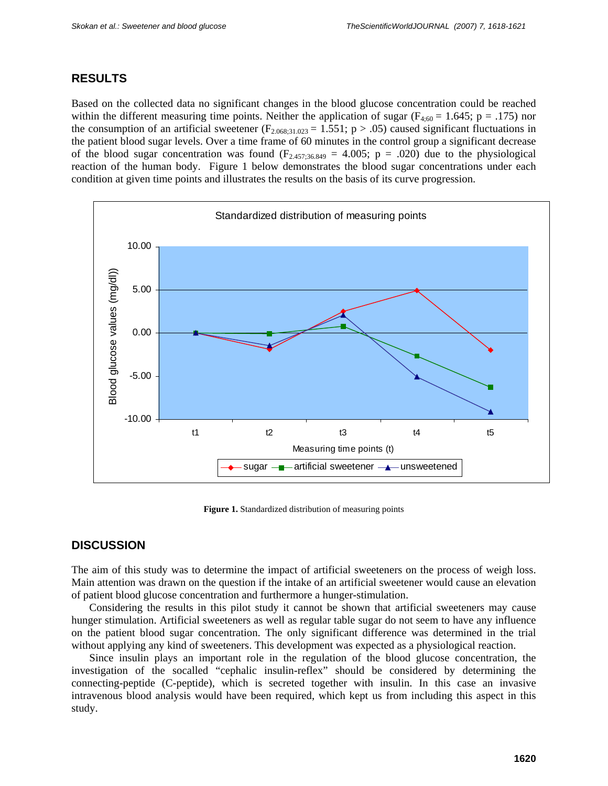## **RESULTS**

Based on the collected data no significant changes in the blood glucose concentration could be reached within the different measuring time points. Neither the application of sugar ( $F_{4:60} = 1.645$ ; p = .175) nor the consumption of an artificial sweetener ( $F_{2.068;31.023} = 1.551$ ; p > .05) caused significant fluctuations in the patient blood sugar levels. Over a time frame of 60 minutes in the control group a significant decrease of the blood sugar concentration was found  $(F_{2.457:36.849} = 4.005; p = .020)$  due to the physiological reaction of the human body. Figure 1 below demonstrates the blood sugar concentrations under each condition at given time points and illustrates the results on the basis of its curve progression.



Figure 1. Standardized distribution of measuring points

# **DISCUSSION**

The aim of this study was to determine the impact of artificial sweeteners on the process of weigh loss. Main attention was drawn on the question if the intake of an artificial sweetener would cause an elevation of patient blood glucose concentration and furthermore a hunger-stimulation.

Considering the results in this pilot study it cannot be shown that artificial sweeteners may cause hunger stimulation. Artificial sweeteners as well as regular table sugar do not seem to have any influence on the patient blood sugar concentration. The only significant difference was determined in the trial without applying any kind of sweeteners. This development was expected as a physiological reaction.

Since insulin plays an important role in the regulation of the blood glucose concentration, the investigation of the socalled "cephalic insulin-reflex" should be considered by determining the connecting-peptide (C-peptide), which is secreted together with insulin. In this case an invasive intravenous blood analysis would have been required, which kept us from including this aspect in this study.